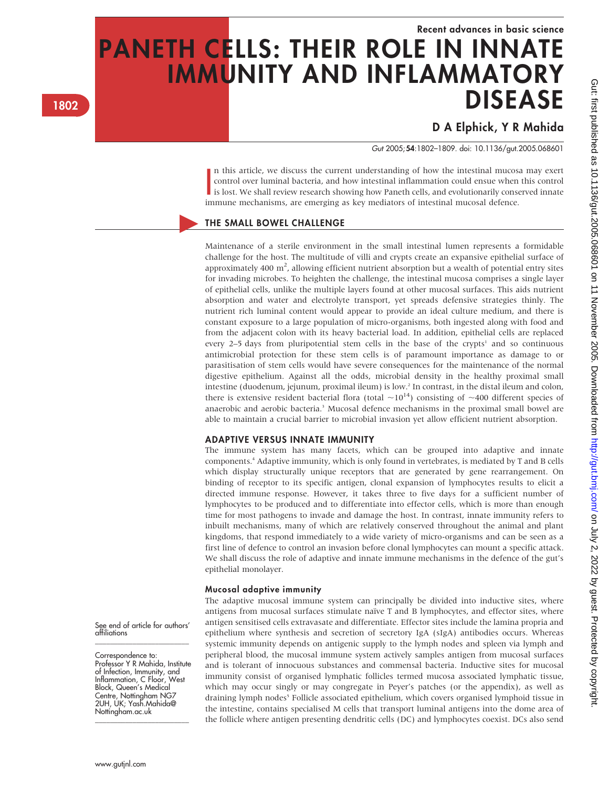# Recent advances in basic science PANETH CELLS: THEIR ROLE IN INNATE IMMUNITY AND INFLAMMATORY DISEASE

## D A Elphick, Y R Mahida

Gut 2005;54:1802–1809. doi: 10.1136/gut.2005.068601

In this article, we discuss the current understanding of how the intestinal mucosa may exert<br>control over luminal bacteria, and how intestinal inflammation could ensue when this control<br>is lost. We shall review research sh n this article, we discuss the current understanding of how the intestinal mucosa may exert control over luminal bacteria, and how intestinal inflammation could ensue when this control immune mechanisms, are emerging as key mediators of intestinal mucosal defence.

### THE SMALL BOWEL CHALLENGE

Maintenance of a sterile environment in the small intestinal lumen represents a formidable challenge for the host. The multitude of villi and crypts create an expansive epithelial surface of approximately 400  $m^2$ , allowing efficient nutrient absorption but a wealth of potential entry sites for invading microbes. To heighten the challenge, the intestinal mucosa comprises a single layer of epithelial cells, unlike the multiple layers found at other mucosal surfaces. This aids nutrient absorption and water and electrolyte transport, yet spreads defensive strategies thinly. The nutrient rich luminal content would appear to provide an ideal culture medium, and there is constant exposure to a large population of micro-organisms, both ingested along with food and from the adjacent colon with its heavy bacterial load. In addition, epithelial cells are replaced every  $2-5$  days from pluripotential stem cells in the base of the crypts<sup>1</sup> and so continuous antimicrobial protection for these stem cells is of paramount importance as damage to or parasitisation of stem cells would have severe consequences for the maintenance of the normal digestive epithelium. Against all the odds, microbial density in the healthy proximal small intestine (duodenum, jejunum, proximal ileum) is low.2 In contrast, in the distal ileum and colon, there is extensive resident bacterial flora (total  $\sim 10^{14}$ ) consisting of  $\sim 400$  different species of anaerobic and aerobic bacteria.<sup>3</sup> Mucosal defence mechanisms in the proximal small bowel are able to maintain a crucial barrier to microbial invasion yet allow efficient nutrient absorption.

### ADAPTIVE VERSUS INNATE IMMUNITY

The immune system has many facets, which can be grouped into adaptive and innate components.4 Adaptive immunity, which is only found in vertebrates, is mediated by T and B cells which display structurally unique receptors that are generated by gene rearrangement. On binding of receptor to its specific antigen, clonal expansion of lymphocytes results to elicit a directed immune response. However, it takes three to five days for a sufficient number of lymphocytes to be produced and to differentiate into effector cells, which is more than enough time for most pathogens to invade and damage the host. In contrast, innate immunity refers to inbuilt mechanisms, many of which are relatively conserved throughout the animal and plant kingdoms, that respond immediately to a wide variety of micro-organisms and can be seen as a first line of defence to control an invasion before clonal lymphocytes can mount a specific attack. We shall discuss the role of adaptive and innate immune mechanisms in the defence of the gut's epithelial monolayer.

### Mucosal adaptive immunity

The adaptive mucosal immune system can principally be divided into inductive sites, where antigens from mucosal surfaces stimulate naïve T and B lymphocytes, and effector sites, where antigen sensitised cells extravasate and differentiate. Effector sites include the lamina propria and epithelium where synthesis and secretion of secretory IgA (sIgA) antibodies occurs. Whereas systemic immunity depends on antigenic supply to the lymph nodes and spleen via lymph and peripheral blood, the mucosal immune system actively samples antigen from mucosal surfaces and is tolerant of innocuous substances and commensal bacteria. Inductive sites for mucosal immunity consist of organised lymphatic follicles termed mucosa associated lymphatic tissue, which may occur singly or may congregate in Peyer's patches (or the appendix), as well as draining lymph nodes<sup>5</sup> Follicle associated epithelium, which covers organised lymphoid tissue in the intestine, contains specialised M cells that transport luminal antigens into the dome area of the follicle where antigen presenting dendritic cells (DC) and lymphocytes coexist. DCs also send

See end of article for authors' affiliations \_\_\_\_\_\_\_\_\_\_\_\_\_\_\_\_\_\_\_\_\_\_\_\_\_

Correspondence to: Professor Y R Mahida, Institute of Infection, Immunity, and Inflammation, C Floor, West Block, Queen's Medical Centre, Nottingham NG7 2UH, UK; Yash.Mahida@ Nottingham.ac.uk

\_\_\_\_\_\_\_\_\_\_\_\_\_\_\_\_\_\_\_\_\_\_\_\_\_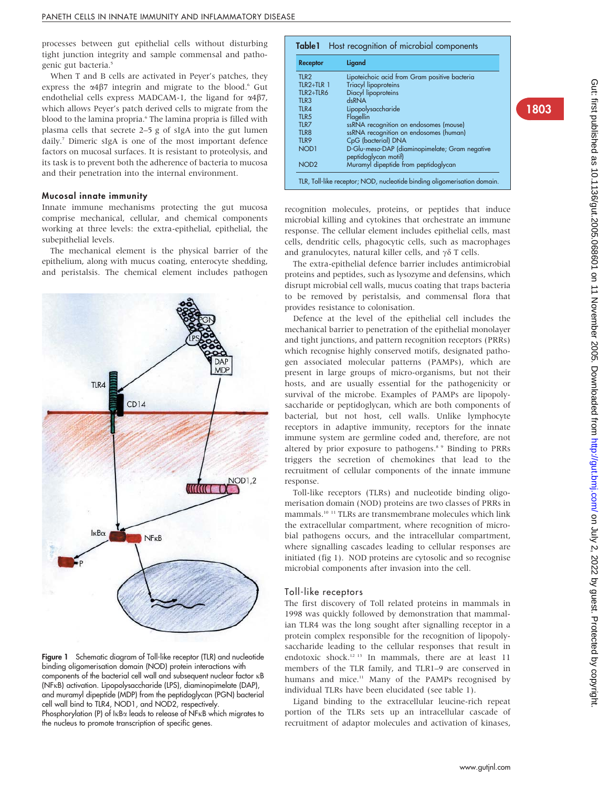processes between gut epithelial cells without disturbing tight junction integrity and sample commensal and pathogenic gut bacteria.<sup>5</sup>

When T and B cells are activated in Peyer's patches, they express the  $\alpha$ 4 $\beta$ 7 integrin and migrate to the blood.<sup>6</sup> Gut endothelial cells express MADCAM-1, the ligand for  $\alpha$ 4 $\beta$ 7, which allows Peyer's patch derived cells to migrate from the blood to the lamina propria.<sup>6</sup> The lamina propria is filled with plasma cells that secrete 2–5 g of sIgA into the gut lumen daily.7 Dimeric sIgA is one of the most important defence factors on mucosal surfaces. It is resistant to proteolysis, and its task is to prevent both the adherence of bacteria to mucosa and their penetration into the internal environment.

#### Mucosal innate immunity

Innate immune mechanisms protecting the gut mucosa comprise mechanical, cellular, and chemical components working at three levels: the extra-epithelial, epithelial, the subepithelial levels.

The mechanical element is the physical barrier of the epithelium, along with mucus coating, enterocyte shedding, and peristalsis. The chemical element includes pathogen



Figure 1 Schematic diagram of Toll-like receptor (TLR) and nucleotide binding oligomerisation domain (NOD) protein interactions with components of the bacterial cell wall and subsequent nuclear factor  $\kappa$ B (NFkB) activation. Lipopolysaccharide (LPS), diaminopimelate (DAP), and muramyl dipeptide (MDP) from the peptidoglycan (PGN) bacterial cell wall bind to TLR4, NOD1, and NOD2, respectively. Phosphorylation (P) of  $I \kappa B \alpha$  leads to release of NF $\kappa B$  which migrates to the nucleus to promote transcription of specific genes.

| <b>Receptor</b>  | Ligand                                                                 |
|------------------|------------------------------------------------------------------------|
| TLR <sub>2</sub> | Lipoteichoic acid from Gram positive bacteria                          |
| $TLR2+TLR$ 1     | <b>Triacyl lipoproteins</b>                                            |
| TLR2+TLR6        | Diacyl lipoproteins                                                    |
| TLR3             | dsRNA                                                                  |
| TLR4             | Lipopolysaccharide                                                     |
| TLR <sub>5</sub> | Flagellin                                                              |
| TLR7             | ssRNA recognition on endosomes (mouse)                                 |
| TLR8             | ssRNA recognition on endosomes (human)                                 |
| TLR9             | CpG (bacterial) DNA                                                    |
| NOD1             | D-Glu-meso-DAP (diaminopimelate; Gram negative<br>peptidoglycan motif) |
| NOD <sub>2</sub> | Muramyl dipeptide from peptidoglycan                                   |

recognition molecules, proteins, or peptides that induce microbial killing and cytokines that orchestrate an immune response. The cellular element includes epithelial cells, mast cells, dendritic cells, phagocytic cells, such as macrophages and granulocytes, natural killer cells, and  $\gamma\delta$  T cells.

The extra-epithelial defence barrier includes antimicrobial proteins and peptides, such as lysozyme and defensins, which disrupt microbial cell walls, mucus coating that traps bacteria to be removed by peristalsis, and commensal flora that provides resistance to colonisation.

Defence at the level of the epithelial cell includes the mechanical barrier to penetration of the epithelial monolayer and tight junctions, and pattern recognition receptors (PRRs) which recognise highly conserved motifs, designated pathogen associated molecular patterns (PAMPs), which are present in large groups of micro-organisms, but not their hosts, and are usually essential for the pathogenicity or survival of the microbe. Examples of PAMPs are lipopolysaccharide or peptidoglycan, which are both components of bacterial, but not host, cell walls. Unlike lymphocyte receptors in adaptive immunity, receptors for the innate immune system are germline coded and, therefore, are not altered by prior exposure to pathogens.<sup>8</sup> 9 Binding to PRRs triggers the secretion of chemokines that lead to the recruitment of cellular components of the innate immune response.

Toll-like receptors (TLRs) and nucleotide binding oligomerisation domain (NOD) proteins are two classes of PRRs in mammals.10 11 TLRs are transmembrane molecules which link the extracellular compartment, where recognition of microbial pathogens occurs, and the intracellular compartment, where signalling cascades leading to cellular responses are initiated (fig 1). NOD proteins are cytosolic and so recognise microbial components after invasion into the cell.

#### Toll-like receptors

The first discovery of Toll related proteins in mammals in 1998 was quickly followed by demonstration that mammalian TLR4 was the long sought after signalling receptor in a protein complex responsible for the recognition of lipopolysaccharide leading to the cellular responses that result in endotoxic shock.12 13 In mammals, there are at least 11 members of the TLR family, and TLR1–9 are conserved in humans and mice.<sup>11</sup> Many of the PAMPs recognised by individual TLRs have been elucidated (see table 1).

Ligand binding to the extracellular leucine-rich repeat portion of the TLRs sets up an intracellular cascade of recruitment of adaptor molecules and activation of kinases,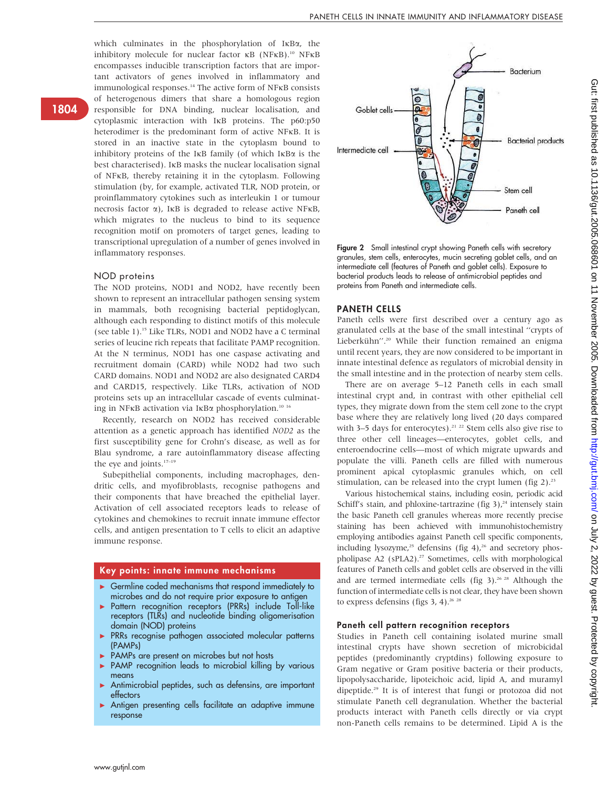which culminates in the phosphorylation of IkBa, the inhibitory molecule for nuclear factor  $\kappa$ B (NF $\kappa$ B).<sup>10</sup> NF $\kappa$ B encompasses inducible transcription factors that are important activators of genes involved in inflammatory and immunological responses.14 The active form of NFkB consists of heterogenous dimers that share a homologous region

responsible for DNA binding, nuclear localisation, and cytoplasmic interaction with IkB proteins. The p60:p50 heterodimer is the predominant form of active NFkB. It is stored in an inactive state in the cytoplasm bound to inhibitory proteins of the IKB family (of which  $I \kappa B \alpha$  is the best characterised). IkB masks the nuclear localisation signal of NFkB, thereby retaining it in the cytoplasm. Following stimulation (by, for example, activated TLR, NOD protein, or proinflammatory cytokines such as interleukin 1 or tumour necrosis factor  $\alpha$ ), IKB is degraded to release active NFKB, which migrates to the nucleus to bind to its sequence recognition motif on promoters of target genes, leading to transcriptional upregulation of a number of genes involved in inflammatory responses.

### NOD proteins

The NOD proteins, NOD1 and NOD2, have recently been shown to represent an intracellular pathogen sensing system in mammals, both recognising bacterial peptidoglycan, although each responding to distinct motifs of this molecule (see table 1).<sup>15</sup> Like TLRs, NOD1 and NOD2 have a C terminal series of leucine rich repeats that facilitate PAMP recognition. At the N terminus, NOD1 has one caspase activating and recruitment domain (CARD) while NOD2 had two such CARD domains. NOD1 and NOD2 are also designated CARD4 and CARD15, respectively. Like TLRs, activation of NOD proteins sets up an intracellular cascade of events culminating in NFKB activation via IKBa phosphorylation.<sup>10 16</sup>

Recently, research on NOD2 has received considerable attention as a genetic approach has identified NOD2 as the first susceptibility gene for Crohn's disease, as well as for Blau syndrome, a rare autoinflammatory disease affecting the eye and joints.17–19

Subepithelial components, including macrophages, dendritic cells, and myofibroblasts, recognise pathogens and their components that have breached the epithelial layer. Activation of cell associated receptors leads to release of cytokines and chemokines to recruit innate immune effector cells, and antigen presentation to T cells to elicit an adaptive immune response.

### Key points: innate immune mechanisms

- $\triangleright$  Germline coded mechanisms that respond immediately to microbes and do not require prior exposure to antigen
- **Pattern recognition receptors (PRRs) include Toll-like** receptors (TLRs) and nucleotide binding oligomerisation domain (NOD) proteins
- **PRRs recognise pathogen associated molecular patterns** (PAMPs)
- PAMPs are present on microbes but not hosts
- **PAMP** recognition leads to microbial killing by various means
- $\triangleright$  Antimicrobial peptides, such as defensins, are important effectors
- Antigen presenting cells facilitate an adaptive immune response



Figure 2 Small intestinal crypt showing Paneth cells with secretory granules, stem cells, enterocytes, mucin secreting goblet cells, and an intermediate cell (features of Paneth and goblet cells). Exposure to bacterial products leads to release of antimicrobial peptides and proteins from Paneth and intermediate cells.

#### PANETH CELLS

Paneth cells were first described over a century ago as granulated cells at the base of the small intestinal ''crypts of Lieberkühn".<sup>20</sup> While their function remained an enigma until recent years, they are now considered to be important in innate intestinal defence as regulators of microbial density in the small intestine and in the protection of nearby stem cells.

There are on average 5–12 Paneth cells in each small intestinal crypt and, in contrast with other epithelial cell types, they migrate down from the stem cell zone to the crypt base where they are relatively long lived (20 days compared with 3–5 days for enterocytes).<sup>21-22</sup> Stem cells also give rise to three other cell lineages—enterocytes, goblet cells, and enteroendocrine cells—most of which migrate upwards and populate the villi. Paneth cells are filled with numerous prominent apical cytoplasmic granules which, on cell stimulation, can be released into the crypt lumen (fig  $2$ ).<sup>23</sup>

Various histochemical stains, including eosin, periodic acid Schiff's stain, and phloxine-tartrazine (fig  $3$ ),<sup>24</sup> intensely stain the basic Paneth cell granules whereas more recently precise staining has been achieved with immunohistochemistry employing antibodies against Paneth cell specific components, including lysozyme,<sup>25</sup> defensins (fig 4),<sup>26</sup> and secretory phospholipase A2 (sPLA2).<sup>27</sup> Sometimes, cells with morphological features of Paneth cells and goblet cells are observed in the villi and are termed intermediate cells (fig  $3$ ).<sup>26,28</sup> Although the function of intermediate cells is not clear, they have been shown to express defensins (figs 3, 4).<sup>26 28</sup>

### Paneth cell pattern recognition receptors

Studies in Paneth cell containing isolated murine small intestinal crypts have shown secretion of microbicidal peptides (predominantly cryptdins) following exposure to Gram negative or Gram positive bacteria or their products, lipopolysaccharide, lipoteichoic acid, lipid A, and muramyl dipeptide.29 It is of interest that fungi or protozoa did not stimulate Paneth cell degranulation. Whether the bacterial products interact with Paneth cells directly or via crypt non-Paneth cells remains to be determined. Lipid A is the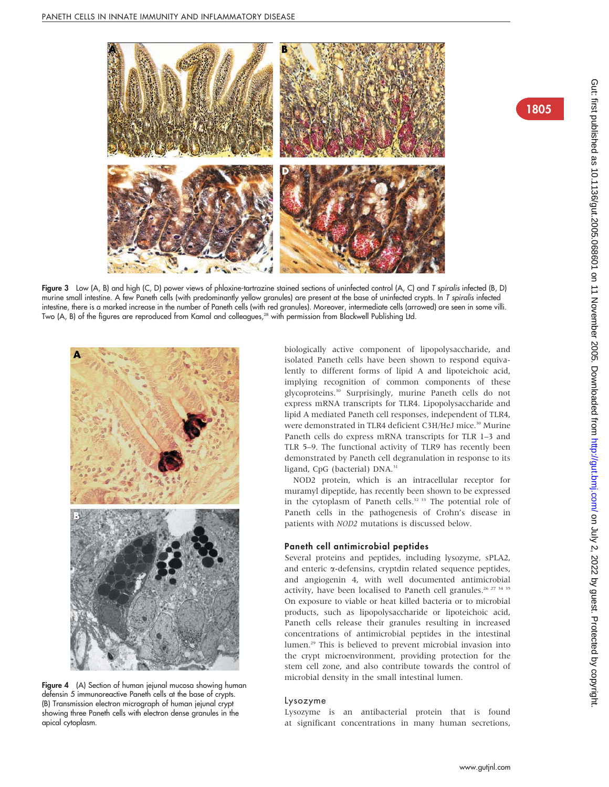

Figure 3 Low (A, B) and high (C, D) power views of phloxine-tartrazine stained sections of uninfected control (A, C) and T spiralis infected (B, D) murine small intestine. A few Paneth cells (with predominantly yellow granules) are present at the base of uninfected crypts. In T spiralis infected intestine, there is a marked increase in the number of Paneth cells (with red granules). Moreover, intermediate cells (arrowed) are seen in some villi. Two (A, B) of the figures are reproduced from Kamal and colleagues,<sup>28</sup> with permission from Blackwell Publishing Ltd.



Figure 4 (A) Section of human jejunal mucosa showing human defensin 5 immunoreactive Paneth cells at the base of crypts. (B) Transmission electron micrograph of human jejunal crypt showing three Paneth cells with electron dense granules in the apical cytoplasm.

biologically active component of lipopolysaccharide, and isolated Paneth cells have been shown to respond equivalently to different forms of lipid A and lipoteichoic acid, implying recognition of common components of these glycoproteins.30 Surprisingly, murine Paneth cells do not express mRNA transcripts for TLR4. Lipopolysaccharide and lipid A mediated Paneth cell responses, independent of TLR4, were demonstrated in TLR4 deficient C3H/HeJ mice.<sup>30</sup> Murine Paneth cells do express mRNA transcripts for TLR 1–3 and TLR 5–9. The functional activity of TLR9 has recently been demonstrated by Paneth cell degranulation in response to its ligand, CpG (bacterial) DNA.<sup>31</sup>

NOD2 protein, which is an intracellular receptor for muramyl dipeptide, has recently been shown to be expressed in the cytoplasm of Paneth cells.<sup>32 33</sup> The potential role of Paneth cells in the pathogenesis of Crohn's disease in patients with NOD2 mutations is discussed below.

### Paneth cell antimicrobial peptides

Several proteins and peptides, including lysozyme, sPLA2, and enteric  $\alpha$ -defensins, cryptdin related sequence peptides, and angiogenin 4, with well documented antimicrobial activity, have been localised to Paneth cell granules.<sup>26 27 34 35</sup> On exposure to viable or heat killed bacteria or to microbial products, such as lipopolysaccharide or lipoteichoic acid, Paneth cells release their granules resulting in increased concentrations of antimicrobial peptides in the intestinal lumen.29 This is believed to prevent microbial invasion into the crypt microenvironment, providing protection for the stem cell zone, and also contribute towards the control of microbial density in the small intestinal lumen.

### Lysozyme

Lysozyme is an antibacterial protein that is found at significant concentrations in many human secretions,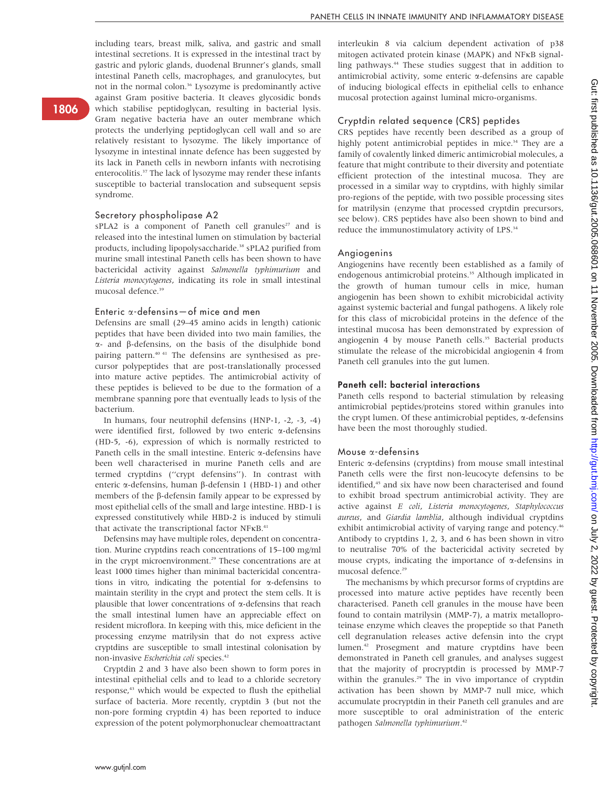including tears, breast milk, saliva, and gastric and small intestinal secretions. It is expressed in the intestinal tract by gastric and pyloric glands, duodenal Brunner's glands, small intestinal Paneth cells, macrophages, and granulocytes, but not in the normal colon.<sup>36</sup> Lysozyme is predominantly active against Gram positive bacteria. It cleaves glycosidic bonds which stabilise peptidoglycan, resulting in bacterial lysis. Gram negative bacteria have an outer membrane which protects the underlying peptidoglycan cell wall and so are relatively resistant to lysozyme. The likely importance of lysozyme in intestinal innate defence has been suggested by its lack in Paneth cells in newborn infants with necrotising enterocolitis.<sup>37</sup> The lack of lysozyme may render these infants susceptible to bacterial translocation and subsequent sepsis syndrome.

### Secretory phospholipase A2

1806

sPLA2 is a component of Paneth cell granules<sup>27</sup> and is released into the intestinal lumen on stimulation by bacterial products, including lipopolysaccharide.<sup>38</sup> sPLA2 purified from murine small intestinal Paneth cells has been shown to have bactericidal activity against Salmonella typhimurium and Listeria monocytogenes, indicating its role in small intestinal mucosal defence.<sup>39</sup>

### Enteric  $\alpha$ -defensins  $-$  of mice and men

Defensins are small (29–45 amino acids in length) cationic peptides that have been divided into two main families, the a- and b-defensins, on the basis of the disulphide bond pairing pattern.<sup>40 41</sup> The defensins are synthesised as precursor polypeptides that are post-translationally processed into mature active peptides. The antimicrobial activity of these peptides is believed to be due to the formation of a membrane spanning pore that eventually leads to lysis of the bacterium.

In humans, four neutrophil defensins (HNP-1, -2, -3, -4) were identified first, followed by two enteric  $\alpha$ -defensins (HD-5, -6), expression of which is normally restricted to Paneth cells in the small intestine. Enteric  $\alpha$ -defensins have been well characterised in murine Paneth cells and are termed cryptdins (''crypt defensins''). In contrast with enteric  $\alpha$ -defensins, human  $\beta$ -defensin 1 (HBD-1) and other members of the  $\beta$ -defensin family appear to be expressed by most epithelial cells of the small and large intestine. HBD-1 is expressed constitutively while HBD-2 is induced by stimuli that activate the transcriptional factor NF $\kappa$ B.<sup>41</sup>

Defensins may have multiple roles, dependent on concentration. Murine cryptdins reach concentrations of 15–100 mg/ml in the crypt microenvironment.<sup>29</sup> These concentrations are at least 1000 times higher than minimal bactericidal concentrations in vitro, indicating the potential for  $\alpha$ -defensins to maintain sterility in the crypt and protect the stem cells. It is plausible that lower concentrations of  $\alpha$ -defensins that reach the small intestinal lumen have an appreciable effect on resident microflora. In keeping with this, mice deficient in the processing enzyme matrilysin that do not express active cryptdins are susceptible to small intestinal colonisation by non-invasive Escherichia coli species.42

Cryptdin 2 and 3 have also been shown to form pores in intestinal epithelial cells and to lead to a chloride secretory response,<sup>43</sup> which would be expected to flush the epithelial surface of bacteria. More recently, cryptdin 3 (but not the non-pore forming cryptdin 4) has been reported to induce expression of the potent polymorphonuclear chemoattractant

interleukin 8 via calcium dependent activation of p38 mitogen activated protein kinase (MAPK) and NFkB signalling pathways.44 These studies suggest that in addition to antimicrobial activity, some enteric  $\alpha$ -defensins are capable of inducing biological effects in epithelial cells to enhance mucosal protection against luminal micro-organisms.

### Cryptdin related sequence (CRS) peptides

CRS peptides have recently been described as a group of highly potent antimicrobial peptides in mice.<sup>34</sup> They are a family of covalently linked dimeric antimicrobial molecules, a feature that might contribute to their diversity and potentiate efficient protection of the intestinal mucosa. They are processed in a similar way to cryptdins, with highly similar pro-regions of the peptide, with two possible processing sites for matrilysin (enzyme that processed cryptdin precursors, see below). CRS peptides have also been shown to bind and reduce the immunostimulatory activity of LPS.<sup>34</sup>

### Angiogenins

Angiogenins have recently been established as a family of endogenous antimicrobial proteins.<sup>35</sup> Although implicated in the growth of human tumour cells in mice, human angiogenin has been shown to exhibit microbicidal activity against systemic bacterial and fungal pathogens. A likely role for this class of microbicidal proteins in the defence of the intestinal mucosa has been demonstrated by expression of angiogenin 4 by mouse Paneth cells.<sup>35</sup> Bacterial products stimulate the release of the microbicidal angiogenin 4 from Paneth cell granules into the gut lumen.

### Paneth cell: bacterial interactions

Paneth cells respond to bacterial stimulation by releasing antimicrobial peptides/proteins stored within granules into the crypt lumen. Of these antimicrobial peptides,  $\alpha$ -defensins have been the most thoroughly studied.

### Mouse a-defensins

Enteric  $\alpha$ -defensins (cryptdins) from mouse small intestinal Paneth cells were the first non-leucocyte defensins to be identified,<sup>45</sup> and six have now been characterised and found to exhibit broad spectrum antimicrobial activity. They are active against E coli, Listeria monocytogenes, Staphylococcus aureus, and Giardia lamblia, although individual cryptdins exhibit antimicrobial activity of varying range and potency.<sup>46</sup> Antibody to cryptdins 1, 2, 3, and 6 has been shown in vitro to neutralise 70% of the bactericidal activity secreted by mouse crypts, indicating the importance of  $\alpha$ -defensins in mucosal defence.<sup>29</sup>

The mechanisms by which precursor forms of cryptdins are processed into mature active peptides have recently been characterised. Paneth cell granules in the mouse have been found to contain matrilysin (MMP-7), a matrix metalloproteinase enzyme which cleaves the propeptide so that Paneth cell degranulation releases active defensin into the crypt lumen.42 Prosegment and mature cryptdins have been demonstrated in Paneth cell granules, and analyses suggest that the majority of procryptdin is processed by MMP-7 within the granules.<sup>29</sup> The in vivo importance of cryptdin activation has been shown by MMP-7 null mice, which accumulate procryptdin in their Paneth cell granules and are more susceptible to oral administration of the enteric pathogen Salmonella typhimurium.<sup>42</sup>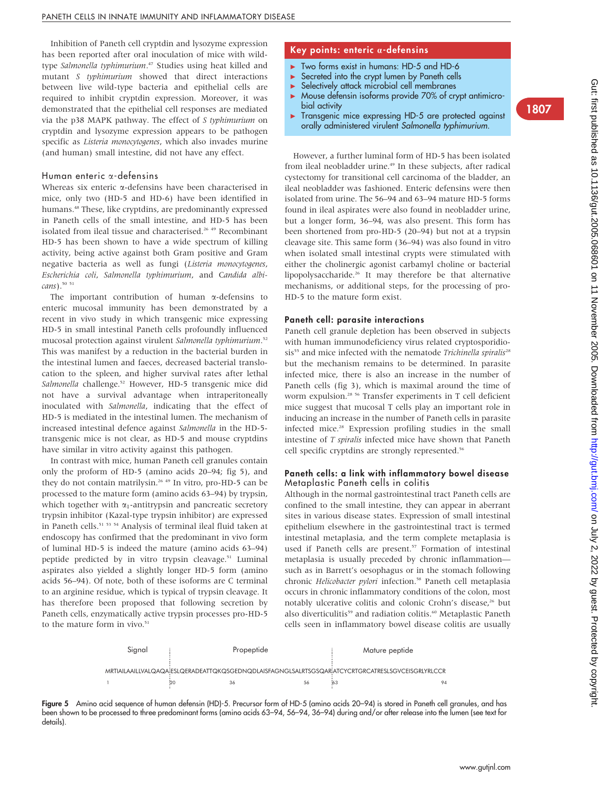Inhibition of Paneth cell cryptdin and lysozyme expression has been reported after oral inoculation of mice with wildtype Salmonella typhimurium.<sup>47</sup> Studies using heat killed and mutant S typhimurium showed that direct interactions between live wild-type bacteria and epithelial cells are required to inhibit cryptdin expression. Moreover, it was demonstrated that the epithelial cell responses are mediated via the p38 MAPK pathway. The effect of S typhimurium on cryptdin and lysozyme expression appears to be pathogen specific as *Listeria monocytogenes*, which also invades murine (and human) small intestine, did not have any effect.

### Human enteric  $\alpha$ -defensins

Whereas six enteric  $\alpha$ -defensins have been characterised in mice, only two (HD-5 and HD-6) have been identified in humans.<sup>48</sup> These, like cryptdins, are predominantly expressed in Paneth cells of the small intestine, and HD-5 has been isolated from ileal tissue and characterised.<sup>26</sup> <sup>49</sup> Recombinant HD-5 has been shown to have a wide spectrum of killing activity, being active against both Gram positive and Gram negative bacteria as well as fungi (Listeria monocytogenes, Escherichia coli, Salmonella typhimurium, and Candida albicans).<sup>50 51</sup>

The important contribution of human  $\alpha$ -defensins to enteric mucosal immunity has been demonstrated by a recent in vivo study in which transgenic mice expressing HD-5 in small intestinal Paneth cells profoundly influenced mucosal protection against virulent Salmonella typhimurium.<sup>52</sup> This was manifest by a reduction in the bacterial burden in the intestinal lumen and faeces, decreased bacterial translocation to the spleen, and higher survival rates after lethal Salmonella challenge.<sup>52</sup> However, HD-5 transgenic mice did not have a survival advantage when intraperitoneally inoculated with Salmonella, indicating that the effect of HD-5 is mediated in the intestinal lumen. The mechanism of increased intestinal defence against Salmonella in the HD-5 transgenic mice is not clear, as HD-5 and mouse cryptdins have similar in vitro activity against this pathogen.

In contrast with mice, human Paneth cell granules contain only the proform of HD-5 (amino acids 20–94; fig 5), and they do not contain matrilysin.<sup>26</sup> <sup>49</sup> In vitro, pro-HD-5 can be processed to the mature form (amino acids 63–94) by trypsin, which together with  $\alpha_1$ -antitrypsin and pancreatic secretory trypsin inhibitor (Kazal-type trypsin inhibitor) are expressed in Paneth cells.51 53 54 Analysis of terminal ileal fluid taken at endoscopy has confirmed that the predominant in vivo form of luminal HD-5 is indeed the mature (amino acids 63–94) peptide predicted by in vitro trypsin cleavage.<sup>51</sup> Luminal aspirates also yielded a slightly longer HD-5 form (amino acids 56–94). Of note, both of these isoforms are C terminal to an arginine residue, which is typical of trypsin cleavage. It has therefore been proposed that following secretion by Paneth cells, enzymatically active trypsin processes pro-HD-5 to the mature form in vivo.<sup>51</sup>

### Key points: enteric  $\alpha$ -defensins

- $\triangleright$  Two forms exist in humans: HD-5 and HD-6
- Secreted into the crypt lumen by Paneth cells
- Selectively attack microbial cell membranes
- Mouse defensin isoforms provide 70% of crypt antimicrobial activity
- Transgenic mice expressing HD-5 are protected against orally administered virulent Salmonella typhimurium.

However, a further luminal form of HD-5 has been isolated from ileal neobladder urine.<sup>49</sup> In these subjects, after radical cystectomy for transitional cell carcinoma of the bladder, an ileal neobladder was fashioned. Enteric defensins were then isolated from urine. The 56–94 and 63–94 mature HD-5 forms found in ileal aspirates were also found in neobladder urine, but a longer form, 36–94, was also present. This form has been shortened from pro-HD-5 (20–94) but not at a trypsin cleavage site. This same form (36–94) was also found in vitro when isolated small intestinal crypts were stimulated with either the cholinergic agonist carbamyl choline or bacterial lipopolysaccharide.26 It may therefore be that alternative mechanisms, or additional steps, for the processing of pro-HD-5 to the mature form exist.

### Paneth cell: parasite interactions

Paneth cell granule depletion has been observed in subjects with human immunodeficiency virus related cryptosporidiosis<sup>55</sup> and mice infected with the nematode Trichinella spiralis<sup>28</sup> but the mechanism remains to be determined. In parasite infected mice, there is also an increase in the number of Paneth cells (fig 3), which is maximal around the time of worm expulsion.<sup>28 56</sup> Transfer experiments in T cell deficient mice suggest that mucosal T cells play an important role in inducing an increase in the number of Paneth cells in parasite infected mice.28 Expression profiling studies in the small intestine of T spiralis infected mice have shown that Paneth cell specific cryptdins are strongly represented.<sup>56</sup>

### Paneth cells: a link with inflammatory bowel disease Metaplastic Paneth cells in colitis

Although in the normal gastrointestinal tract Paneth cells are confined to the small intestine, they can appear in aberrant sites in various disease states. Expression of small intestinal epithelium elsewhere in the gastrointestinal tract is termed intestinal metaplasia, and the term complete metaplasia is used if Paneth cells are present.<sup>57</sup> Formation of intestinal metaplasia is usually preceded by chronic inflammation such as in Barrett's oesophagus or in the stomach following chronic Helicobacter pylori infection.<sup>58</sup> Paneth cell metaplasia occurs in chronic inflammatory conditions of the colon, most notably ulcerative colitis and colonic Crohn's disease,<sup>26</sup> but also diverticulitis<sup>59</sup> and radiation colitis.<sup>60</sup> Metaplastic Paneth cells seen in inflammatory bowel disease colitis are usually



Figure 5 Amino acid sequence of human defensin (HD)-5. Precursor form of HD-5 (amino acids 20–94) is stored in Paneth cell granules, and has been shown to be processed to three predominant forms (amino acids 63–94, 56–94, 36–94) during and/or after release into the lumen (see text for details).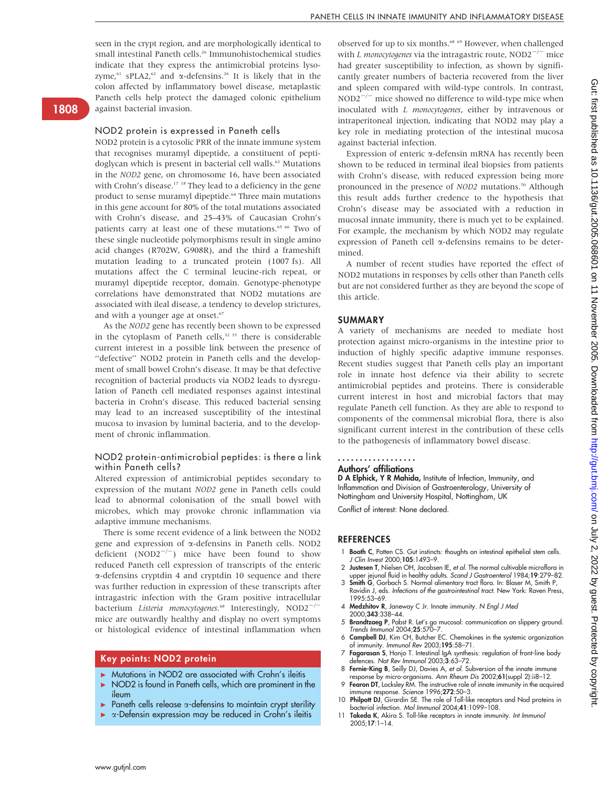seen in the crypt region, and are morphologically identical to small intestinal Paneth cells.<sup>26</sup> Immunohistochemical studies indicate that they express the antimicrobial proteins lysozyme, $61$  sPLA2, $62$  and  $\alpha$ -defensins.<sup>26</sup> It is likely that in the colon affected by inflammatory bowel disease, metaplastic Paneth cells help protect the damaged colonic epithelium against bacterial invasion.

1808

### NOD2 protein is expressed in Paneth cells

NOD2 protein is a cytosolic PRR of the innate immune system that recognises muramyl dipeptide, a constituent of peptidoglycan which is present in bacterial cell walls.<sup>63</sup> Mutations in the NOD2 gene, on chromosome 16, have been associated with Crohn's disease.<sup>17</sup> <sup>18</sup> They lead to a deficiency in the gene product to sense muramyl dipeptide.<sup>64</sup> Three main mutations in this gene account for 80% of the total mutations associated with Crohn's disease, and 25–43% of Caucasian Crohn's patients carry at least one of these mutations.<sup>65 66</sup> Two of these single nucleotide polymorphisms result in single amino acid changes (R702W, G908R), and the third a frameshift mutation leading to a truncated protein (1007 fs). All mutations affect the C terminal leucine-rich repeat, or muramyl dipeptide receptor, domain. Genotype-phenotype correlations have demonstrated that NOD2 mutations are associated with ileal disease, a tendency to develop strictures, and with a younger age at onset.<sup>67</sup>

As the NOD2 gene has recently been shown to be expressed in the cytoplasm of Paneth cells, $32$  33 there is considerable current interest in a possible link between the presence of "defective" NOD2 protein in Paneth cells and the development of small bowel Crohn's disease. It may be that defective recognition of bacterial products via NOD2 leads to dysregulation of Paneth cell mediated responses against intestinal bacteria in Crohn's disease. This reduced bacterial sensing may lead to an increased susceptibility of the intestinal mucosa to invasion by luminal bacteria, and to the development of chronic inflammation.

### NOD2 protein-antimicrobial peptides: is there a link within Paneth cells?

Altered expression of antimicrobial peptides secondary to expression of the mutant NOD2 gene in Paneth cells could lead to abnormal colonisation of the small bowel with microbes, which may provoke chronic inflammation via adaptive immune mechanisms.

There is some recent evidence of a link between the NOD2 gene and expression of a-defensins in Paneth cells. NOD2 deficient (NOD2<sup>-/-</sup>) mice have been found to show reduced Paneth cell expression of transcripts of the enteric a-defensins cryptdin 4 and cryptdin 10 sequence and there was further reduction in expression of these transcripts after intragastric infection with the Gram positive intracellular bacterium *Listeria monocytogenes*.<sup>68</sup> Interestingly,  $NOD2^{-/-}$ mice are outwardly healthy and display no overt symptoms or histological evidence of intestinal inflammation when

### Key points: NOD2 protein

- Mutations in NOD2 are associated with Crohn's ileitis
- $\triangleright$  NOD2 is found in Paneth cells, which are prominent in the ileum
- Paneth cells release  $\alpha$ -defensins to maintain crypt sterility
- $\triangleright$   $\alpha$ -Defensin expression may be reduced in Crohn's ileitis

observed for up to six months.<sup>68</sup> 69 However, when challenged with L monocytogenes via the intragastric route,  $NOD2^{-/-}$  mice had greater susceptibility to infection, as shown by significantly greater numbers of bacteria recovered from the liver and spleen compared with wild-type controls. In contrast,  $NOD2^{-/-}$  mice showed no difference to wild-type mice when inoculated with L monocytogenes, either by intravenous or intraperitoneal injection, indicating that NOD2 may play a key role in mediating protection of the intestinal mucosa against bacterial infection.

Expression of enteric  $\alpha$ -defensin mRNA has recently been shown to be reduced in terminal ileal biopsies from patients with Crohn's disease, with reduced expression being more pronounced in the presence of NOD2 mutations.<sup>70</sup> Although this result adds further credence to the hypothesis that Crohn's disease may be associated with a reduction in mucosal innate immunity, there is much yet to be explained. For example, the mechanism by which NOD2 may regulate expression of Paneth cell a-defensins remains to be determined.

A number of recent studies have reported the effect of NOD2 mutations in responses by cells other than Paneth cells but are not considered further as they are beyond the scope of this article.

### SUMMARY

A variety of mechanisms are needed to mediate host protection against micro-organisms in the intestine prior to induction of highly specific adaptive immune responses. Recent studies suggest that Paneth cells play an important role in innate host defence via their ability to secrete antimicrobial peptides and proteins. There is considerable current interest in host and microbial factors that may regulate Paneth cell function. As they are able to respond to components of the commensal microbial flora, there is also significant current interest in the contribution of these cells to the pathogenesis of inflammatory bowel disease.

### ..................

Authors' affiliations D A Elphick, Y R Mahida, Institute of Infection, Immunity, and Inflammation and Division of Gastroenterology, University of Nottingham and University Hospital, Nottingham, UK

Conflict of interest: None declared.

### **REFERENCES**

- 1 Booth C, Potten CS. Gut instincts: thoughts on intestinal epithelial stem cells. J Clin Invest 2000;105:1493–9.
- 2 Justesen T, Nielsen OH, Jacobsen IE, et al. The normal cultivable microflora in upper jejunal fluid in healthy adults. Scand J Gastroenterol 1984;19:279–82.
- 3 Smith G, Gorbach S. Normal alimentary tract flora. In: Blaser M, Smith P, Ravidin J, eds. Infections of the gastrointestinal tract. New York: Raven Press, 1995:53–69.
- 4 Medzhitov R, Janeway C Jr. Innate immunity. N Engl J Med 2000;343:338–44.
- 5 **Brandtzaeg P**, Pabst R. Let's go mucosal: communication on slippery ground.<br>Trends Immunol 2004;**25**:570–7.
- 6 Campbell DJ, Kim CH, Butcher EC. Chemokines in the systemic organization of immunity. Immunol Rev 2003;195:58–71.
- 7 Fagarasan S, Honjo T. Intestinal IgA synthesis: regulation of front-line body defences. Nat Rev Immunol 2003;3:63–72.
- 8 Fernie-King B, Seilly DJ, Davies A, et al. Subversion of the innate immune response by micro-organisms. Ann Rheum Dis 2002;61(suppl 2):ii8–12.
- 9 Fearon DT, Locksley RM. The instructive role of innate immunity in the acquired immune response. Science 1996;272:50–3.
- 10 Philpott DJ, Girardin SE. The role of Toll-like receptors and Nod proteins in bacterial infection. Mol Immunol 2004;41:1099–108.
- 11 Takeda K, Akira S. Toll-like receptors in innate immunity. Int Immunol 2005;17:1–14.